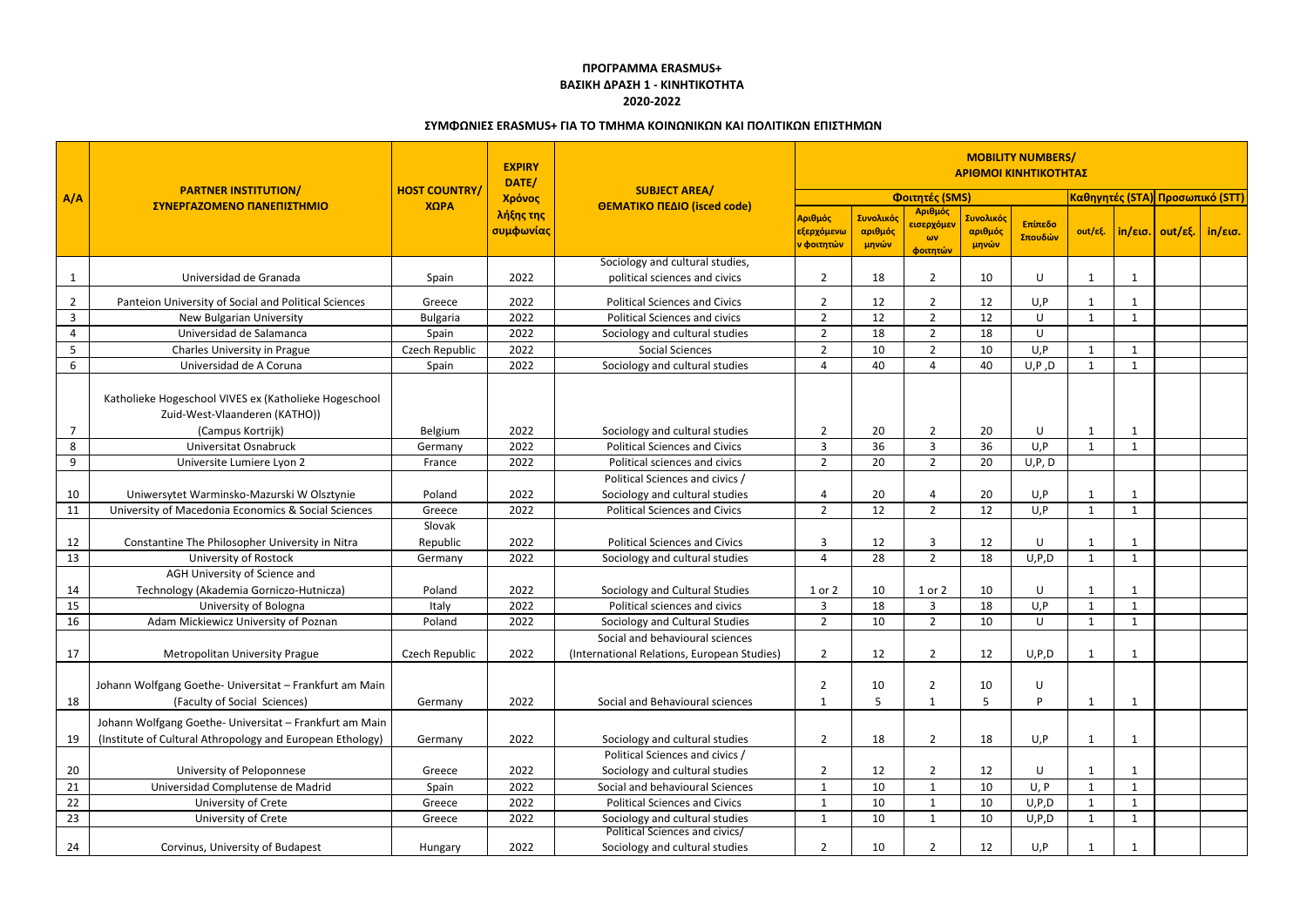|                | <b>PARTNER INSTITUTION/</b><br>ΣΥΝΕΡΓΑΖΟΜΕΝΟ ΠΑΝΕΠΙΣΤΗΜΙΟ                               |                      | <b>EXPIRY</b><br>DATE/ |                                                                         | <b>MOBILITY NUMBERS/</b><br>ΑΡΙΘΜΟΙ ΚΙΝΗΤΙΚΟΤΗΤΑΣ |                               |                                                              |                               |                    |              |              |                                                |  |
|----------------|-----------------------------------------------------------------------------------------|----------------------|------------------------|-------------------------------------------------------------------------|---------------------------------------------------|-------------------------------|--------------------------------------------------------------|-------------------------------|--------------------|--------------|--------------|------------------------------------------------|--|
| A/A            |                                                                                         | <b>HOST COUNTRY/</b> | Χρόνος                 | <b>SUBJECT AREA/</b>                                                    | Φοιτητές (SMS)                                    |                               |                                                              |                               |                    |              |              | <mark> Καθηγητές (STA)  Προσωπικό (STT)</mark> |  |
|                |                                                                                         | ΧΩΡΑ                 | λήξης της<br>συμφωνίας | ΘΕΜΑΤΙΚΟ ΠΕΔΙΟ (isced code)                                             | Αριθμός<br>εξερχόμενω<br>ν φοιτητών               | Συνολικός<br>αριθμός<br>μηνών | Αριθμός<br><mark>εισερχόμεν</mark><br>$\omega$ v<br>φοιτητών | Συνολικός<br>αριθμός<br>μηνών | Επίπεδο<br>Σπουδών | out/εξ.      |              | $ $ in/εισ.   out/εξ.   in/εισ.                |  |
|                | Universidad de Granada                                                                  | Spain                | 2022                   | Sociology and cultural studies,<br>political sciences and civics        | $\overline{2}$                                    | 18                            | $\overline{2}$                                               | 10                            | U                  |              |              |                                                |  |
| $\overline{2}$ | Panteion University of Social and Political Sciences                                    | Greece               | 2022                   | <b>Political Sciences and Civics</b>                                    | $\overline{2}$                                    | 12                            | $\overline{2}$                                               | 12                            | U, P               |              |              |                                                |  |
| $\overline{3}$ | <b>New Bulgarian University</b>                                                         | <b>Bulgaria</b>      | 2022                   | <b>Political Sciences and civics</b>                                    | $\overline{2}$                                    | 12                            | $\overline{2}$                                               | 12                            | U                  |              |              |                                                |  |
| 4              | Universidad de Salamanca                                                                | Spain                | 2022                   | Sociology and cultural studies                                          | $\overline{2}$                                    | 18                            | $\overline{2}$                                               | 18                            | U                  |              |              |                                                |  |
| 5              | Charles University in Prague                                                            | Czech Republic       | 2022                   | <b>Social Sciences</b>                                                  | $\overline{2}$                                    | 10                            | $\overline{2}$                                               | 10                            | U, P               |              |              |                                                |  |
| 6              | Universidad de A Coruna                                                                 | Spain                | 2022                   | Sociology and cultural studies                                          | 4                                                 | 40                            | 4                                                            | 40                            | U, P, D            | -1           |              |                                                |  |
|                | Katholieke Hogeschool VIVES ex (Katholieke Hogeschool<br>Zuid-West-Vlaanderen (KATHO))  |                      |                        |                                                                         |                                                   |                               |                                                              |                               |                    |              |              |                                                |  |
|                | (Campus Kortrijk)                                                                       | Belgium              | 2022                   | Sociology and cultural studies                                          | $\overline{2}$                                    | 20                            | $\overline{2}$                                               | 20                            | U                  |              |              |                                                |  |
| 8              | Universitat Osnabruck                                                                   | Germany              | 2022                   | <b>Political Sciences and Civics</b>                                    | $\overline{3}$                                    | 36                            | 3                                                            | 36                            | U, P               | -1           | $\mathbf{1}$ |                                                |  |
| 9              | Universite Lumiere Lyon 2                                                               | France               | 2022                   | Political sciences and civics                                           | $\overline{2}$                                    | 20                            | $\overline{2}$                                               | 20                            | U, P, D            |              |              |                                                |  |
| 10             | Uniwersytet Warminsko-Mazurski W Olsztynie                                              | Poland               | 2022                   | Political Sciences and civics /<br>Sociology and cultural studies       | 4                                                 | 20                            | Δ                                                            | 20                            | U, P               |              | -1           |                                                |  |
| 11             | University of Macedonia Economics & Social Sciences                                     | Greece               | 2022                   | <b>Political Sciences and Civics</b>                                    | $\overline{2}$                                    | 12                            | $2^{\circ}$                                                  | 12                            | U, P               | -1           | $\mathbf{1}$ |                                                |  |
| 12             | Constantine The Philosopher University in Nitra                                         | Slovak<br>Republic   | 2022                   | <b>Political Sciences and Civics</b>                                    | 3                                                 | 12                            | 3                                                            | 12                            | U                  |              |              |                                                |  |
| 13             | University of Rostock                                                                   | Germany              | 2022                   | Sociology and cultural studies                                          | 4                                                 | 28                            | $\overline{2}$                                               | 18                            | U, P, D            |              |              |                                                |  |
| 14             | AGH University of Science and<br>Technology (Akademia Gorniczo-Hutnicza)                | Poland               | 2022                   | Sociology and Cultural Studies                                          | 1 or 2                                            | 10                            | 1 or 2                                                       | 10                            | U                  |              |              |                                                |  |
| 15             | University of Bologna                                                                   | Italy                | 2022                   | Political sciences and civics                                           | $\mathbf{3}$                                      | 18                            | 3                                                            | 18                            | U, P               |              |              |                                                |  |
| 16             | Adam Mickiewicz University of Poznan                                                    | Poland               | 2022                   | Sociology and Cultural Studies                                          | $\overline{2}$                                    | 10                            | $\overline{2}$                                               | 10                            | U                  |              |              |                                                |  |
|                |                                                                                         |                      |                        | Social and behavioural sciences                                         |                                                   |                               |                                                              |                               |                    |              |              |                                                |  |
| 17             | <b>Metropolitan University Prague</b>                                                   | Czech Republic       | 2022                   | (International Relations, European Studies)                             | $\overline{2}$                                    | 12                            | $\overline{2}$                                               | 12                            | U, P, D            |              |              |                                                |  |
| 18             | Johann Wolfgang Goethe- Universitat - Frankfurt am Main<br>(Faculty of Social Sciences) | Germany              | 2022                   | Social and Behavioural sciences                                         | $\overline{2}$<br>1                               | 10<br>5                       | 2<br>1                                                       | 10<br>5                       | U<br>D             | -1           | -1           |                                                |  |
|                |                                                                                         |                      |                        |                                                                         |                                                   |                               |                                                              |                               |                    |              |              |                                                |  |
|                | Johann Wolfgang Goethe- Universitat - Frankfurt am Main                                 |                      |                        |                                                                         |                                                   |                               |                                                              |                               |                    |              |              |                                                |  |
| 19             | (Institute of Cultural Athropology and European Ethology)                               | Germany              | 2022                   | Sociology and cultural studies                                          | $\overline{2}$                                    | 18                            | $\overline{2}$                                               | 18                            | U, P               |              | -1           |                                                |  |
|                |                                                                                         |                      |                        | Political Sciences and civics /                                         |                                                   |                               |                                                              |                               |                    |              |              |                                                |  |
| 20             | University of Peloponnese                                                               | Greece               | 2022                   | Sociology and cultural studies                                          | $\overline{2}$                                    | 12                            | $\overline{2}$                                               | 12                            | U                  |              |              |                                                |  |
| 21             | Universidad Complutense de Madrid                                                       | Spain                | 2022                   | Social and behavioural Sciences                                         | $\mathbf{1}$                                      | 10                            | $\mathbf{1}$                                                 | 10                            | U, P               | $\mathbf{1}$ | $\mathbf{1}$ |                                                |  |
| 22             | University of Crete                                                                     | Greece               | 2022                   | <b>Political Sciences and Civics</b>                                    | $\mathbf{1}$                                      | 10                            |                                                              | 10                            | U, P, D            |              |              |                                                |  |
| 23             | University of Crete                                                                     | Greece               | 2022                   | Sociology and cultural studies<br><b>Political Sciences and civics/</b> | $\mathbf{1}$                                      | 10                            | $\mathbf{1}$                                                 | 10                            | U, P, D            | $\mathbf{1}$ | 1            |                                                |  |
| 24             | Corvinus, University of Budapest                                                        | Hungary              | 2022                   | Sociology and cultural studies                                          | $\overline{2}$                                    | 10                            | $\overline{2}$                                               | 12                            | U, P               |              |              |                                                |  |

## **ΣΥΜΦΩΝΙΕΣ ERASMUS+ ΓΙΑ ΤΟ ΤΜΗΜΑ ΚΟΙΝΩΝΙΚΩΝ ΚΑΙ ΠΟΛΙΤΙΚΩΝ ΕΠΙΣΤΗΜΩΝ**

## **ΠΡΟΓΡΑΜΜΑ ERASMUS+ ΒΑΣΙΚΗ ΔΡΑΣΗ 1 - ΚΙΝΗΤΙΚΟΤΗΤΑ 2020-2022**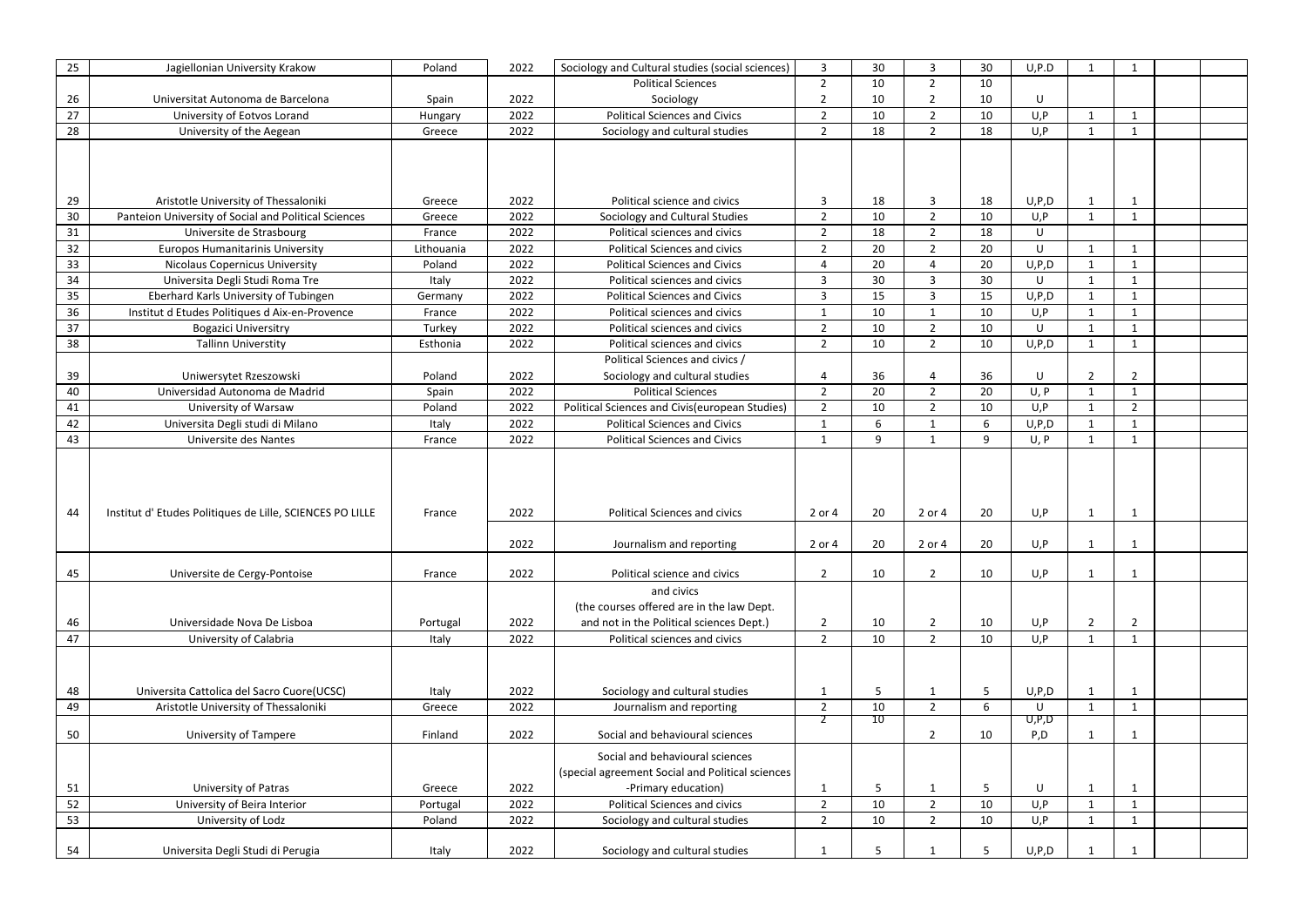| 25       | Jagiellonian University Krakow                           | Poland             | 2022 | Sociology and Cultural studies (social sciences)            | $\overline{3}$                 | 30       | 3              | 30 | U, P.D     |                |                             |  |
|----------|----------------------------------------------------------|--------------------|------|-------------------------------------------------------------|--------------------------------|----------|----------------|----|------------|----------------|-----------------------------|--|
|          |                                                          |                    |      | <b>Political Sciences</b>                                   | $\overline{2}$                 | 10       | $\overline{2}$ | 10 |            |                |                             |  |
| 26       | Universitat Autonoma de Barcelona                        | Spain              | 2022 | Sociology                                                   | $\overline{2}$                 | 10       | 2              | 10 | U          |                |                             |  |
| 27       | University of Eotvos Lorand                              | Hungary            | 2022 | <b>Political Sciences and Civics</b>                        | $\overline{2}$                 | 10       | $\overline{2}$ | 10 | U, P       |                | $\overline{1}$              |  |
| 28       | University of the Aegean                                 | Greece             | 2022 | Sociology and cultural studies                              | $\overline{2}$                 | 18       | $\overline{2}$ | 18 | U, P       |                | -1                          |  |
|          |                                                          |                    |      |                                                             |                                |          |                |    |            |                |                             |  |
|          |                                                          |                    |      |                                                             |                                |          |                |    |            |                |                             |  |
|          |                                                          |                    |      |                                                             |                                |          |                |    |            |                |                             |  |
| 29       | Aristotle University of Thessaloniki                     | Greece             | 2022 | Political science and civics                                | $\overline{3}$                 | 18       | 3              | 18 | U, P, D    |                | $\mathbf 1$                 |  |
| 30       | Panteion University of Social and Political Sciences     | Greece             | 2022 | Sociology and Cultural Studies                              | $\overline{2}$                 | 10       | 2              | 10 | U, P       |                |                             |  |
| 31       | Universite de Strasbourg                                 | France             | 2022 | Political sciences and civics                               | $\overline{2}$                 | 18       | $\overline{2}$ | 18 | U          |                |                             |  |
| 32       | <b>Europos Humanitarinis University</b>                  | Lithouania         | 2022 | <b>Political Sciences and civics</b>                        | $\overline{2}$                 | 20       | $\overline{2}$ | 20 | U          |                | $\overline{\mathbf{1}}$     |  |
| 33       | <b>Nicolaus Copernicus University</b>                    | Poland             | 2022 | <b>Political Sciences and Civics</b>                        | $\overline{a}$                 | 20       | 4              | 20 | U, P, D    |                |                             |  |
| 34       | Universita Degli Studi Roma Tre                          | Italy              | 2022 | Political sciences and civics                               | $\overline{3}$                 | 30       | 3              | 30 | U          |                |                             |  |
| 35       | Eberhard Karls University of Tubingen                    | Germany            | 2022 | <b>Political Sciences and Civics</b>                        | $\overline{3}$                 | 15       | $\mathbf{3}$   | 15 | U, P, D    |                | $\mathbf{1}$                |  |
| 36       | Institut d Etudes Politiques d Aix-en-Provence           | France             | 2022 | Political sciences and civics                               | $\mathbf{1}$                   | 10       | -1             | 10 | U, P       |                | -1                          |  |
| 37       | <b>Bogazici Universitry</b>                              | Turkey             | 2022 | Political sciences and civics                               | $\overline{2}$                 | 10       | $\overline{2}$ | 10 | U          |                |                             |  |
| 38       | <b>Tallinn Universtity</b>                               | Esthonia           | 2022 | Political sciences and civics                               | $\overline{2}$                 | 10       | $\overline{2}$ | 10 | U, P, D    |                | $\mathbf{1}$                |  |
|          |                                                          |                    |      | Political Sciences and civics /                             |                                |          |                |    |            |                |                             |  |
| 39       | Uniwersytet Rzeszowski                                   | Poland             | 2022 | Sociology and cultural studies                              | $\overline{4}$                 | 36       | 4              | 36 | U          | $\overline{2}$ | $\overline{2}$              |  |
| 40       | Universidad Autonoma de Madrid                           | Spain              | 2022 | <b>Political Sciences</b>                                   | $\overline{2}$                 | 20       | $\overline{2}$ | 20 | U, P       |                | $\overline{1}$              |  |
| 41       | University of Warsaw                                     | Poland             | 2022 | Political Sciences and Civis (european Studies)             | $\overline{2}$                 | 10       | $\overline{2}$ | 10 | U, P       |                | $\overline{2}$              |  |
| 42       | Universita Degli studi di Milano                         | Italy              | 2022 | <b>Political Sciences and Civics</b>                        | $\mathbf{1}$                   | -6       |                | 6  | U, P, D    |                | $\mathbf 1$                 |  |
| 43       | Universite des Nantes                                    | France             | 2022 | <b>Political Sciences and Civics</b>                        | $\mathbf 1$                    | 9        | $\mathbf{1}$   | 9  | U, P       |                | $\mathbf 1$                 |  |
|          |                                                          |                    |      |                                                             |                                |          |                |    |            |                |                             |  |
| 44       | Institut d'Etudes Politiques de Lille, SCIENCES PO LILLE | France             | 2022 | <b>Political Sciences and civics</b>                        | 2 or 4                         | 20       | 2 or 4         | 20 | U, P       |                | $\mathbf 1$                 |  |
|          |                                                          |                    | 2022 | Journalism and reporting                                    | 2 or 4                         | 20       | 2 or 4         | 20 | U, P       |                |                             |  |
|          |                                                          |                    | 2022 | Political science and civics                                | $\overline{2}$                 |          |                | 10 | U, P       |                |                             |  |
| 45       | Universite de Cergy-Pontoise                             | France             |      |                                                             |                                | 10       | $\overline{2}$ |    |            |                | $\mathbf{1}$                |  |
|          |                                                          |                    |      | and civics<br>(the courses offered are in the law Dept.     |                                |          |                |    |            |                |                             |  |
|          | Universidade Nova De Lisboa                              |                    | 2022 | and not in the Political sciences Dept.)                    | $\overline{2}$                 | 10       | $\overline{2}$ | 10 | U, P       | $\overline{2}$ | $\overline{2}$              |  |
| 46<br>47 | University of Calabria                                   | Portugal<br>Italy  | 2022 | Political sciences and civics                               | $\overline{2}$                 | 10       | $2^{\circ}$    | 10 | U, P       | $\mathbf{1}$   | $\mathbf{1}$                |  |
|          |                                                          |                    |      |                                                             |                                |          |                |    |            |                |                             |  |
|          |                                                          |                    |      |                                                             |                                |          |                |    |            |                |                             |  |
|          |                                                          |                    |      |                                                             |                                |          |                |    |            |                |                             |  |
| 48       | Universita Cattolica del Sacro Cuore(UCSC)               | Italy              | 2022 | Sociology and cultural studies                              | $\mathbf 1$                    | -5       |                | 5  | U, P, D    |                | $\mathbf 1$                 |  |
| 49       | Aristotle University of Thessaloniki                     | Greece             | 2022 | Journalism and reporting                                    | $\overline{2}$<br>2            | 10<br>10 | $2^{\circ}$    | 6  | U<br>U,P,D | $\mathbf{1}$   | $\mathbf{1}$                |  |
| 50       | <b>University of Tampere</b>                             | Finland            | 2022 | Social and behavioural sciences                             |                                |          | $2^{\circ}$    | 10 | P, D       |                | -1                          |  |
|          |                                                          |                    |      |                                                             |                                |          |                |    |            |                |                             |  |
|          |                                                          |                    |      | Social and behavioural sciences                             |                                |          |                |    |            |                |                             |  |
|          |                                                          |                    | 2022 | (special agreement Social and Political sciences            |                                |          |                | 5  |            |                |                             |  |
| 51<br>52 | University of Patras<br>University of Beira Interior     | Greece             | 2022 | -Primary education)<br><b>Political Sciences and civics</b> | $\mathbf{1}$<br>$\overline{2}$ | 5<br>10  | $\overline{2}$ | 10 | U<br>U, P  |                | $\mathbf{1}$<br>$\mathbf 1$ |  |
| 53       | University of Lodz                                       | Portugal<br>Poland | 2022 | Sociology and cultural studies                              | $\overline{2}$                 | 10       | $\overline{2}$ | 10 | U, P       |                | $\mathbf{1}$                |  |
|          |                                                          |                    |      |                                                             |                                |          |                |    |            |                |                             |  |
| 54       | Universita Degli Studi di Perugia                        | Italy              | 2022 | Sociology and cultural studies                              | $\mathbf 1$                    | -5       |                | 5  | U, P, D    |                | $\mathbf 1$                 |  |